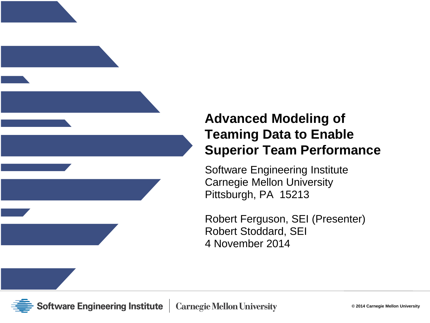

### **Advanced Modeling of Teaming Data to Enable Superior Team Performance**

Software Engineering Institute Carnegie Mellon University Pittsburgh, PA 15213

Robert Ferguson, SEI (Presenter) Robert Stoddard, SEI 4 November 2014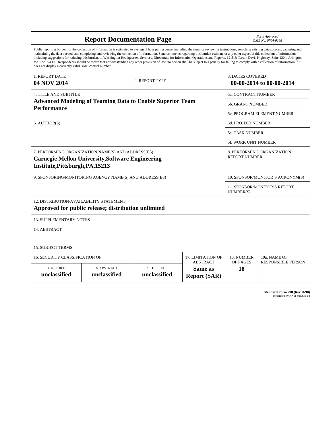| <b>Report Documentation Page</b>                                                                                                                                                                                                                                                                                                                                                                                                                                                                                                                                                                                                                                                                                                                                                                                                                                   |                                                         |                              |                                                   | Form Approved<br>OMB No. 0704-0188 |                                                    |  |  |  |
|--------------------------------------------------------------------------------------------------------------------------------------------------------------------------------------------------------------------------------------------------------------------------------------------------------------------------------------------------------------------------------------------------------------------------------------------------------------------------------------------------------------------------------------------------------------------------------------------------------------------------------------------------------------------------------------------------------------------------------------------------------------------------------------------------------------------------------------------------------------------|---------------------------------------------------------|------------------------------|---------------------------------------------------|------------------------------------|----------------------------------------------------|--|--|--|
| Public reporting burden for the collection of information is estimated to average 1 hour per response, including the time for reviewing instructions, searching existing data sources, gathering and<br>maintaining the data needed, and completing and reviewing the collection of information. Send comments regarding this burden estimate or any other aspect of this collection of information,<br>including suggestions for reducing this burden, to Washington Headquarters Services, Directorate for Information Operations and Reports, 1215 Jefferson Davis Highway, Suite 1204, Arlington<br>VA 22202-4302. Respondents should be aware that notwithstanding any other provision of law, no person shall be subject to a penalty for failing to comply with a collection of information if it<br>does not display a currently valid OMB control number. |                                                         |                              |                                                   |                                    |                                                    |  |  |  |
| 1. REPORT DATE<br>04 NOV 2014                                                                                                                                                                                                                                                                                                                                                                                                                                                                                                                                                                                                                                                                                                                                                                                                                                      |                                                         | 2. REPORT TYPE               |                                                   | <b>3. DATES COVERED</b>            | 00-00-2014 to 00-00-2014                           |  |  |  |
| <b>4. TITLE AND SUBTITLE</b>                                                                                                                                                                                                                                                                                                                                                                                                                                                                                                                                                                                                                                                                                                                                                                                                                                       |                                                         |                              |                                                   |                                    | 5a. CONTRACT NUMBER                                |  |  |  |
| <b>Advanced Modeling of Teaming Data to Enable Superior Team</b>                                                                                                                                                                                                                                                                                                                                                                                                                                                                                                                                                                                                                                                                                                                                                                                                   |                                                         |                              |                                                   |                                    | <b>5b. GRANT NUMBER</b>                            |  |  |  |
| <b>Performance</b>                                                                                                                                                                                                                                                                                                                                                                                                                                                                                                                                                                                                                                                                                                                                                                                                                                                 |                                                         |                              |                                                   |                                    | 5c. PROGRAM ELEMENT NUMBER                         |  |  |  |
| 6. AUTHOR(S)                                                                                                                                                                                                                                                                                                                                                                                                                                                                                                                                                                                                                                                                                                                                                                                                                                                       |                                                         |                              |                                                   |                                    | <b>5d. PROJECT NUMBER</b>                          |  |  |  |
|                                                                                                                                                                                                                                                                                                                                                                                                                                                                                                                                                                                                                                                                                                                                                                                                                                                                    |                                                         |                              |                                                   |                                    | 5e. TASK NUMBER                                    |  |  |  |
|                                                                                                                                                                                                                                                                                                                                                                                                                                                                                                                                                                                                                                                                                                                                                                                                                                                                    |                                                         |                              |                                                   |                                    | <b>5f. WORK UNIT NUMBER</b>                        |  |  |  |
| 7. PERFORMING ORGANIZATION NAME(S) AND ADDRESS(ES)<br><b>Carnegie Mellon University, Software Engineering</b><br>Institute, Pittsburgh, PA, 15213                                                                                                                                                                                                                                                                                                                                                                                                                                                                                                                                                                                                                                                                                                                  |                                                         |                              |                                                   |                                    | 8. PERFORMING ORGANIZATION<br><b>REPORT NUMBER</b> |  |  |  |
|                                                                                                                                                                                                                                                                                                                                                                                                                                                                                                                                                                                                                                                                                                                                                                                                                                                                    | 9. SPONSORING/MONITORING AGENCY NAME(S) AND ADDRESS(ES) |                              | 10. SPONSOR/MONITOR'S ACRONYM(S)                  |                                    |                                                    |  |  |  |
|                                                                                                                                                                                                                                                                                                                                                                                                                                                                                                                                                                                                                                                                                                                                                                                                                                                                    |                                                         |                              |                                                   |                                    | <b>11. SPONSOR/MONITOR'S REPORT</b><br>NUMBER(S)   |  |  |  |
| 12. DISTRIBUTION/AVAILABILITY STATEMENT<br>Approved for public release; distribution unlimited                                                                                                                                                                                                                                                                                                                                                                                                                                                                                                                                                                                                                                                                                                                                                                     |                                                         |                              |                                                   |                                    |                                                    |  |  |  |
| <b>13. SUPPLEMENTARY NOTES</b>                                                                                                                                                                                                                                                                                                                                                                                                                                                                                                                                                                                                                                                                                                                                                                                                                                     |                                                         |                              |                                                   |                                    |                                                    |  |  |  |
| 14. ABSTRACT                                                                                                                                                                                                                                                                                                                                                                                                                                                                                                                                                                                                                                                                                                                                                                                                                                                       |                                                         |                              |                                                   |                                    |                                                    |  |  |  |
| <b>15. SUBJECT TERMS</b>                                                                                                                                                                                                                                                                                                                                                                                                                                                                                                                                                                                                                                                                                                                                                                                                                                           |                                                         |                              |                                                   |                                    |                                                    |  |  |  |
| 16. SECURITY CLASSIFICATION OF:                                                                                                                                                                                                                                                                                                                                                                                                                                                                                                                                                                                                                                                                                                                                                                                                                                    | 17. LIMITATION OF                                       | 18. NUMBER                   | 19a. NAME OF                                      |                                    |                                                    |  |  |  |
| a. REPORT<br>unclassified                                                                                                                                                                                                                                                                                                                                                                                                                                                                                                                                                                                                                                                                                                                                                                                                                                          | b. ABSTRACT<br>unclassified                             | c. THIS PAGE<br>unclassified | <b>ABSTRACT</b><br>Same as<br><b>Report (SAR)</b> | OF PAGES<br>18                     | <b>RESPONSIBLE PERSON</b>                          |  |  |  |

**Standard Form 298 (Rev. 8-98)**<br>Prescribed by ANSI Std Z39-18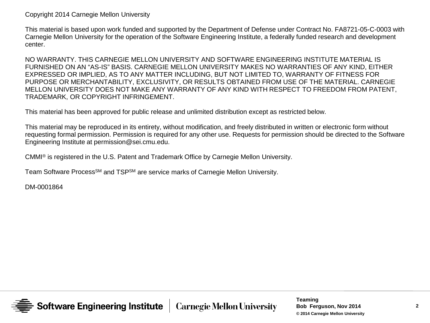Copyright 2014 Carnegie Mellon University

This material is based upon work funded and supported by the Department of Defense under Contract No. FA8721-05-C-0003 with Carnegie Mellon University for the operation of the Software Engineering Institute, a federally funded research and development center.

NO WARRANTY. THIS CARNEGIE MELLON UNIVERSITY AND SOFTWARE ENGINEERING INSTITUTE MATERIAL IS FURNISHED ON AN "AS-IS" BASIS. CARNEGIE MELLON UNIVERSITY MAKES NO WARRANTIES OF ANY KIND, EITHER EXPRESSED OR IMPLIED, AS TO ANY MATTER INCLUDING, BUT NOT LIMITED TO, WARRANTY OF FITNESS FOR PURPOSE OR MERCHANTABILITY, EXCLUSIVITY, OR RESULTS OBTAINED FROM USE OF THE MATERIAL. CARNEGIE MELLON UNIVERSITY DOES NOT MAKE ANY WARRANTY OF ANY KIND WITH RESPECT TO FREEDOM FROM PATENT, TRADEMARK, OR COPYRIGHT INFRINGEMENT.

This material has been approved for public release and unlimited distribution except as restricted below.

This material may be reproduced in its entirety, without modification, and freely distributed in written or electronic form without requesting formal permission. Permission is required for any other use. Requests for permission should be directed to the Software Engineering Institute at permission@sei.cmu.edu.

CMMI® is registered in the U.S. Patent and Trademark Office by Carnegie Mellon University.

Team Software Process<sup>SM</sup> and TSP<sup>SM</sup> are service marks of Carnegie Mellon University.

DM-0001864

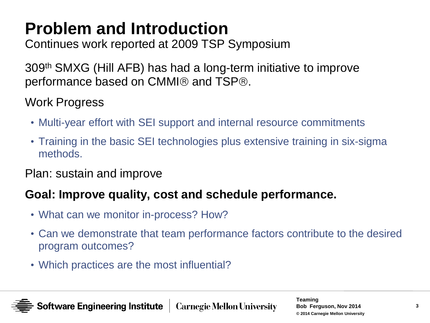# **Problem and Introduction**

Continues work reported at 2009 TSP Symposium

309th SMXG (Hill AFB) has had a long-term initiative to improve performance based on CMMI $\circledR$  and TSP $\circledR$ .

### Work Progress

- Multi-year effort with SEI support and internal resource commitments
- Training in the basic SEI technologies plus extensive training in six-sigma methods.

#### Plan: sustain and improve

### **Goal: Improve quality, cost and schedule performance.**

- What can we monitor in-process? How?
- Can we demonstrate that team performance factors contribute to the desired program outcomes?
- Which practices are the most influential?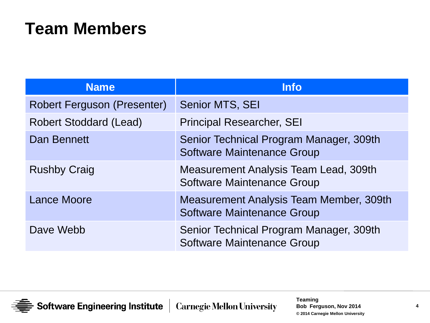## **Team Members**

| <b>Name</b>                        | <b>Info</b>                                                                         |
|------------------------------------|-------------------------------------------------------------------------------------|
| <b>Robert Ferguson (Presenter)</b> | Senior MTS, SEI                                                                     |
| <b>Robert Stoddard (Lead)</b>      | <b>Principal Researcher, SEI</b>                                                    |
| <b>Dan Bennett</b>                 | Senior Technical Program Manager, 309th<br><b>Software Maintenance Group</b>        |
| <b>Rushby Craig</b>                | Measurement Analysis Team Lead, 309th<br>Software Maintenance Group                 |
| <b>Lance Moore</b>                 | <b>Measurement Analysis Team Member, 309th</b><br><b>Software Maintenance Group</b> |
| Dave Webb                          | Senior Technical Program Manager, 309th<br><b>Software Maintenance Group</b>        |

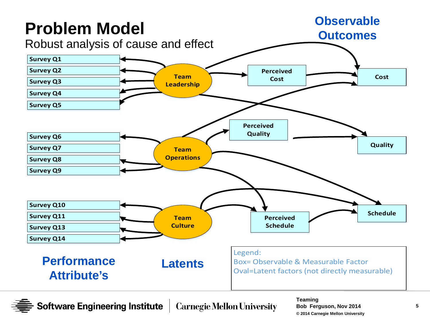

**Software Engineering Institute Carnegie Mellon University**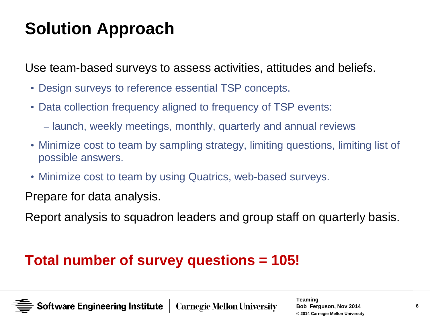# **Solution Approach**

Use team-based surveys to assess activities, attitudes and beliefs.

- Design surveys to reference essential TSP concepts.
- Data collection frequency aligned to frequency of TSP events:
	- launch, weekly meetings, monthly, quarterly and annual reviews
- Minimize cost to team by sampling strategy, limiting questions, limiting list of possible answers.
- Minimize cost to team by using Quatrics, web-based surveys.

Prepare for data analysis.

Report analysis to squadron leaders and group staff on quarterly basis.

## **Total number of survey questions = 105!**

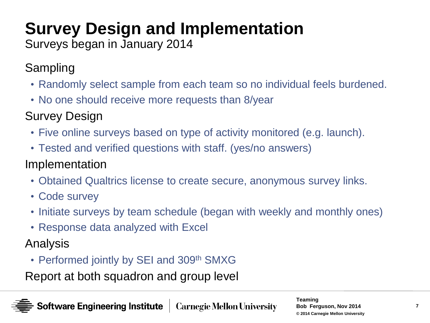# **Survey Design and Implementation**

Surveys began in January 2014

Sampling

- Randomly select sample from each team so no individual feels burdened.
- No one should receive more requests than 8/year
- Survey Design
	- Five online surveys based on type of activity monitored (e.g. launch).
	- Tested and verified questions with staff. (yes/no answers)

### Implementation

- Obtained Qualtrics license to create secure, anonymous survey links.
- Code survey
- Initiate surveys by team schedule (began with weekly and monthly ones)
- Response data analyzed with Excel

Analysis

• Performed jointly by SEI and 309th SMXG

Report at both squadron and group level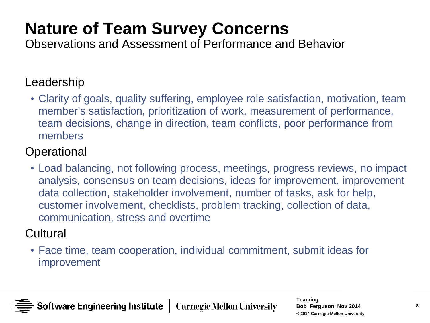# **Nature of Team Survey Concerns**

Observations and Assessment of Performance and Behavior

#### Leadership

• Clarity of goals, quality suffering, employee role satisfaction, motivation, team member's satisfaction, prioritization of work, measurement of performance, team decisions, change in direction, team conflicts, poor performance from members

#### **Operational**

• Load balancing, not following process, meetings, progress reviews, no impact analysis, consensus on team decisions, ideas for improvement, improvement data collection, stakeholder involvement, number of tasks, ask for help, customer involvement, checklists, problem tracking, collection of data, communication, stress and overtime

#### **Cultural**

• Face time, team cooperation, individual commitment, submit ideas for improvement

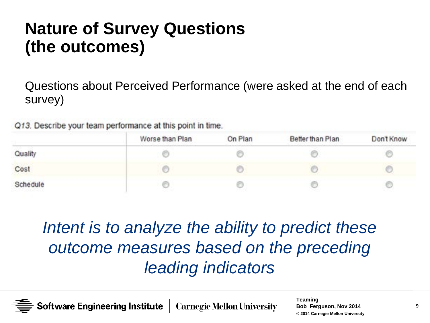## **Nature of Survey Questions (the outcomes)**

Questions about Perceived Performance (were asked at the end of each survey)

Q13. Describe your team performance at this point in time.

|                            | Worse than Plan | On Plan<br>and the participant countries the control | Better than Plan | Don't Know |
|----------------------------|-----------------|------------------------------------------------------|------------------|------------|
| Quality                    |                 |                                                      |                  |            |
| Cost                       |                 |                                                      |                  |            |
| Schedule<br>a postpanova p |                 |                                                      |                  |            |

*Intent is to analyze the ability to predict these outcome measures based on the preceding leading indicators*

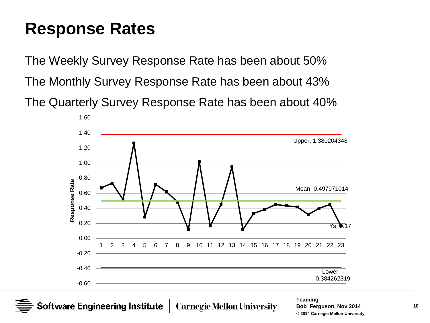## **Response Rates**

The Weekly Survey Response Rate has been about 50% The Monthly Survey Response Rate has been about 43% The Quarterly Survey Response Rate has been about 40%



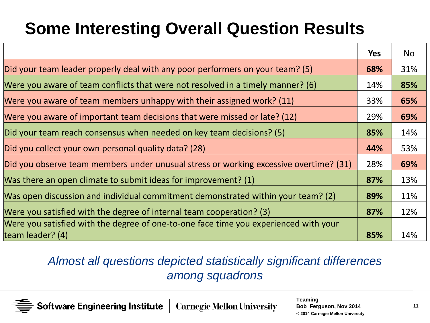# **Some Interesting Overall Question Results**

|                                                                                       | <b>Yes</b> | No  |
|---------------------------------------------------------------------------------------|------------|-----|
| Did your team leader properly deal with any poor performers on your team? (5)         | 68%        | 31% |
| Were you aware of team conflicts that were not resolved in a timely manner? (6)       | 14%        | 85% |
| Were you aware of team members unhappy with their assigned work? (11)                 | 33%        | 65% |
| Were you aware of important team decisions that were missed or late? (12)             | 29%        | 69% |
| Did your team reach consensus when needed on key team decisions? (5)                  | 85%        | 14% |
| Did you collect your own personal quality data? (28)                                  | 44%        | 53% |
| Did you observe team members under unusual stress or working excessive overtime? (31) | 28%        | 69% |
| Was there an open climate to submit ideas for improvement? (1)                        | 87%        | 13% |
| Was open discussion and individual commitment demonstrated within your team? (2)      | 89%        | 11% |
| Were you satisfied with the degree of internal team cooperation? (3)                  | 87%        | 12% |
| Were you satisfied with the degree of one-to-one face time you experienced with your  |            |     |
| team leader? (4)                                                                      | 85%        | 14% |

#### *Almost all questions depicted statistically significant differences among squadrons*

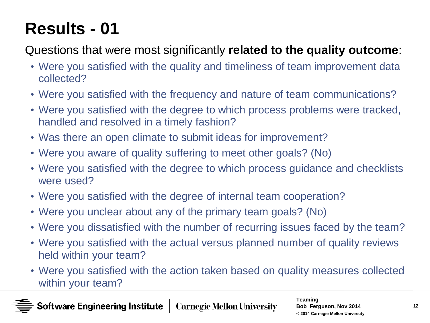# **Results - 01**

## Questions that were most significantly **related to the quality outcome**:

- Were you satisfied with the quality and timeliness of team improvement data collected?
- Were you satisfied with the frequency and nature of team communications?
- Were you satisfied with the degree to which process problems were tracked, handled and resolved in a timely fashion?
- Was there an open climate to submit ideas for improvement?
- Were you aware of quality suffering to meet other goals? (No)
- Were you satisfied with the degree to which process guidance and checklists were used?
- Were you satisfied with the degree of internal team cooperation?
- Were you unclear about any of the primary team goals? (No)
- Were you dissatisfied with the number of recurring issues faced by the team?
- Were you satisfied with the actual versus planned number of quality reviews held within your team?
- Were you satisfied with the action taken based on quality measures collected within your team?

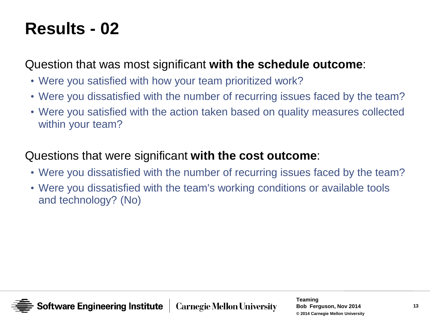# **Results - 02**

Question that was most significant **with the schedule outcome**:

- Were you satisfied with how your team prioritized work?
- Were you dissatisfied with the number of recurring issues faced by the team?
- Were you satisfied with the action taken based on quality measures collected within your team?

#### Questions that were significant **with the cost outcome**:

- Were you dissatisfied with the number of recurring issues faced by the team?
- Were you dissatisfied with the team's working conditions or available tools and technology? (No)

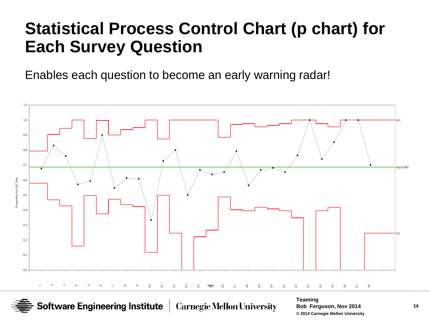## **Statistical Process Control Chart (p chart) for Each Survey Question**

Enables each question to become an early warning radar!



**Software Engineering Institute** 

**Carnegie Mellon University**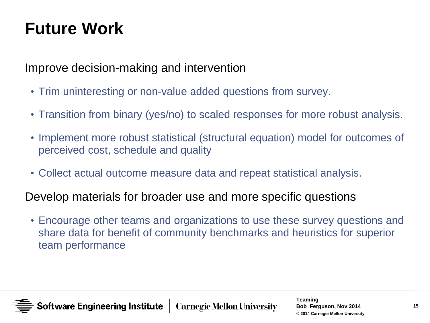# **Future Work**

#### Improve decision-making and intervention

- Trim uninteresting or non-value added questions from survey.
- Transition from binary (yes/no) to scaled responses for more robust analysis.
- Implement more robust statistical (structural equation) model for outcomes of perceived cost, schedule and quality
- Collect actual outcome measure data and repeat statistical analysis.

#### Develop materials for broader use and more specific questions

• Encourage other teams and organizations to use these survey questions and share data for benefit of community benchmarks and heuristics for superior team performance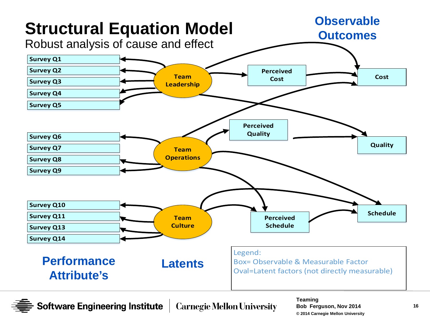

**Software Engineering Institute Carnegie Mellon University**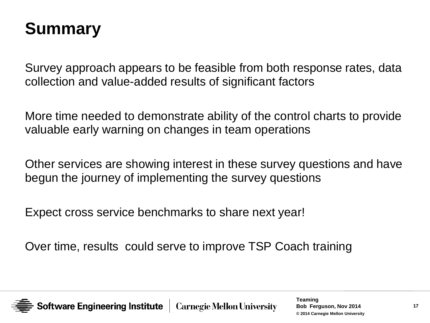## **Summary**

Survey approach appears to be feasible from both response rates, data collection and value-added results of significant factors

More time needed to demonstrate ability of the control charts to provide valuable early warning on changes in team operations

Other services are showing interest in these survey questions and have begun the journey of implementing the survey questions

Expect cross service benchmarks to share next year!

Over time, results could serve to improve TSP Coach training